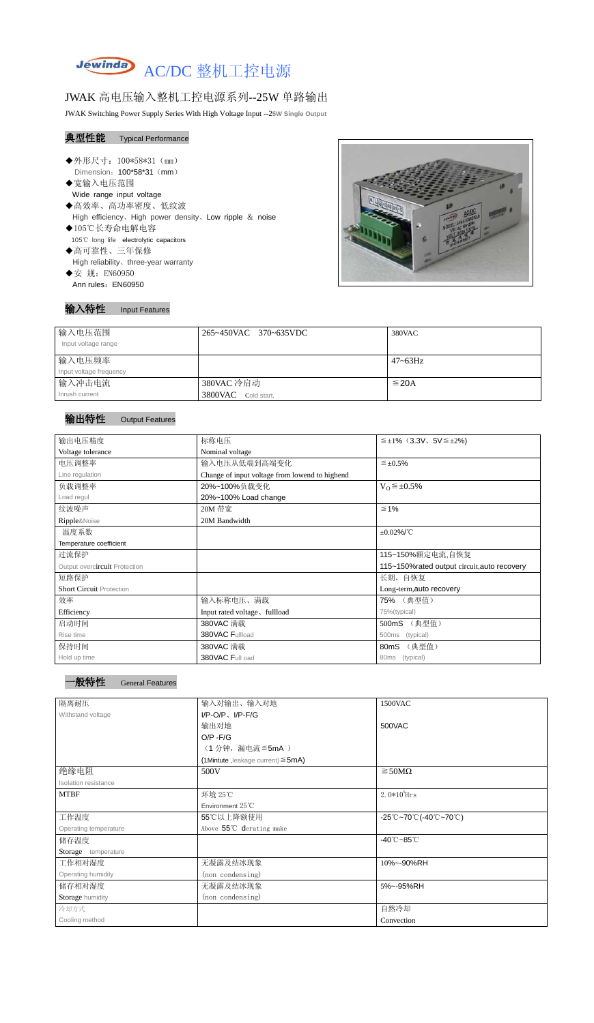

# JWAK 高电压输入整机工控电源系列--25W 单路输出

JWAK Switching Power Supply Series With High Voltage Input --2**5W Single Output**

## 典型性能 Typical Performance

- ◆外形尺寸: 100\*58\*31 (mm) Dimension: 100\*58\*31 (mm) ◆宽输入电压范围
	- Wide range input voltage
- ◆高效率、高功率密度、低纹波 High efficiency、High power density、Low ripple & noise ◆105℃长寿命电解电容
- 105℃ long life electrolytic capacitors
- ◆高可靠性、三年保修 High reliability、three-year warranty ◆安 规: EN60950
- Ann rules: EN60950

## 输入特性 Input Features



| 输入电压范围<br>Input voltage range | 265~450VAC 370~635VDC | 380VAC       |
|-------------------------------|-----------------------|--------------|
| 输入电压频率                        |                       | $47 - 63$ Hz |
| Input voltage frequency       |                       |              |
| 输入冲击电流                        | 380VAC 冷启动            | $\leq$ 20A   |
| Inrush current                | 3800VAC Cold start,   |              |

## 输出特性 Output Features

| 输出电压精度                          | 标称电压                                           | $\leq \pm 1\%$ (3.3V, 5V $\leq \pm 2\%$ ) |  |
|---------------------------------|------------------------------------------------|-------------------------------------------|--|
| Voltage tolerance               | Nominal voltage                                |                                           |  |
| 电压调整率                           | 输入电压从低端到高端变化                                   | $\leq \pm 0.5\%$                          |  |
| Line regulation                 | Change of input voltage from lowend to highend |                                           |  |
| 负载调整率                           | 20%~100%负载变化                                   | $V_0 \leq \pm 0.5\%$                      |  |
| Load regul                      | 20%~100% Load change                           |                                           |  |
| 纹波噪声                            | 20M 带宽                                         | $\leq 1\%$                                |  |
| Ripple&Noise                    | 20M Bandwidth                                  |                                           |  |
| 温度系数                            |                                                | $\pm 0.02\%$ /°C                          |  |
| Temperature coefficient         |                                                |                                           |  |
| 过流保护                            |                                                | 115~150%额定电流,自恢复                          |  |
| Output overcircuit Protection   | 115~150% rated output circuit, auto recovery   |                                           |  |
| 短路保护                            |                                                | 长期, 自恢复                                   |  |
| <b>Short Circuit Protection</b> |                                                | Long-term, auto recovery                  |  |
| 效率                              | 输入标称电压、满载                                      | 75% (典型值)                                 |  |
| Efficiency                      | Input rated voltage, fullload                  | 75%(typical)                              |  |
| 启动时间                            | 380VAC 满载                                      | (典型值)<br>500mS                            |  |
| Rise time                       | 380VAC Fullload                                | (typical)<br>500ms                        |  |
| 保持时间                            | 380VAC 满载                                      | (典型值)<br>80mS                             |  |
| Hold up time                    | 380VAC Full oad                                | (typical)<br>80 <sub>ms</sub>             |  |

| ·般特性 | Gen |
|------|-----|
|      |     |

eral Features

| 隔离耐压                        | 输入对输出、输入对地                              | 1500VAC                                                                                       |  |  |
|-----------------------------|-----------------------------------------|-----------------------------------------------------------------------------------------------|--|--|
| Withstand voltage           | $I/P$ -O/P, $I/P$ -F/G                  |                                                                                               |  |  |
|                             | 输出对地                                    | 500VAC                                                                                        |  |  |
|                             | $O/P - F/G$                             |                                                                                               |  |  |
|                             | (1分钟, 漏电流 ≦5mA)                         |                                                                                               |  |  |
|                             | (1Mintute, leakage current) $\leq$ 5mA) |                                                                                               |  |  |
| 绝缘电阻                        | 500V                                    | $\geq$ 50M $\Omega$                                                                           |  |  |
| <b>Isolation resistance</b> |                                         |                                                                                               |  |  |
| <b>MTBF</b>                 | 环境 25℃                                  | 2.0 $*10^5$ Hrs                                                                               |  |  |
|                             | Environment $25^{\circ}$ C              |                                                                                               |  |  |
| 工作温度                        | 55℃以上降额使用                               | $-25^{\circ}\text{C}$ ~70 $^{\circ}\text{C}$ (-40 $^{\circ}\text{C}$ ~70 $^{\circ}\text{C}$ ) |  |  |
| Operating temperature       | Above 55°C derating make                |                                                                                               |  |  |
| 储存温度                        |                                         | $-40^{\circ}$ C $-85^{\circ}$ C                                                               |  |  |
| Storage temperature         |                                         |                                                                                               |  |  |
| 工作相对湿度                      | 无凝露及结冰现象                                | 10%~-90%RH                                                                                    |  |  |
| Operating humidity          | (non condensing)                        |                                                                                               |  |  |
| 储存相对湿度                      | 无凝露及结冰现象                                | 5%~-95%RH                                                                                     |  |  |
| Storage humidity            | (non condensing)                        |                                                                                               |  |  |
| 冷却方式                        |                                         | 自然冷却                                                                                          |  |  |
| Cooling method              |                                         | Convection                                                                                    |  |  |